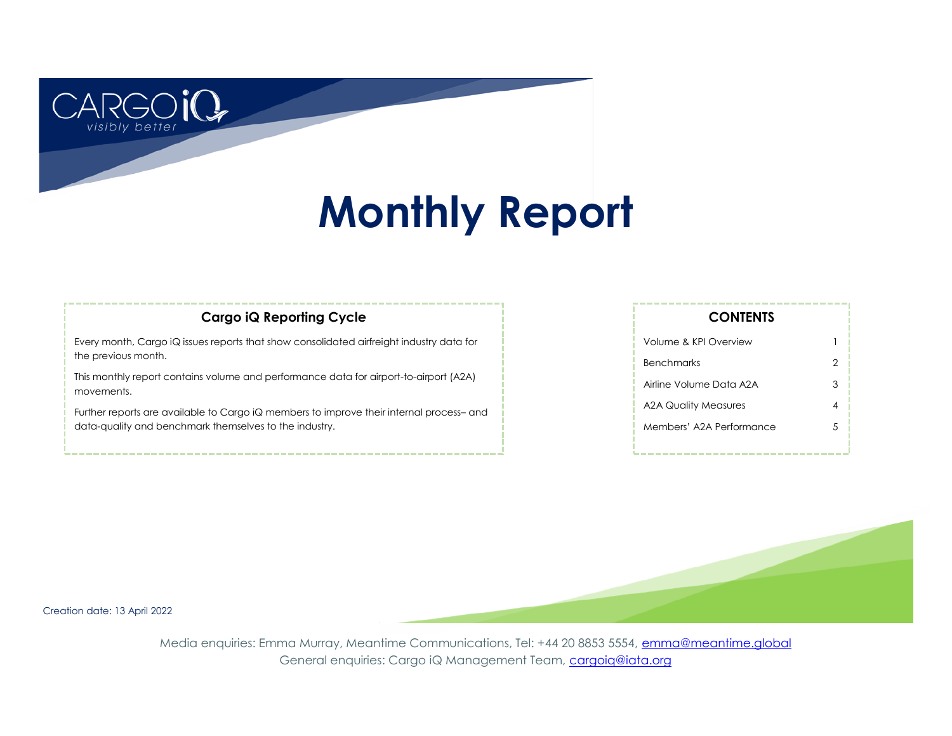# **Monthly Report**

### **Cargo iQ Reporting Cycle**

Every month, Cargo iQ issues reports that show consolidated airfreight industry data for the previous month.

This monthly report contains volume and performance data for airport-to-airport (A2A) movements.

Further reports are available to Cargo iQ members to improve their internal process– and data-quality and benchmark themselves to the industry.

| ------                   |   |
|--------------------------|---|
| Volume & KPI Overview    |   |
| <b>Benchmarks</b>        | 2 |
| Airline Volume Data A2A  | 3 |
| A2A Quality Measures     |   |
| Members' A2A Performance | 5 |
|                          |   |

**CONTENTS**

Creation date: 13 April 2022

better

Media enquiries: Emma Murray, Meantime Communications, Tel: +44 20 8853 5554, [emma@meantime.global](mailto:emma@meantimecomms.com?subject=Cargo%20iQ%20enquiry) General enquiries: Cargo iQ Management Team, [cargoiq@iata.org](mailto:cargoiq@iata.org?subject=Monthly%20report%20enquiry)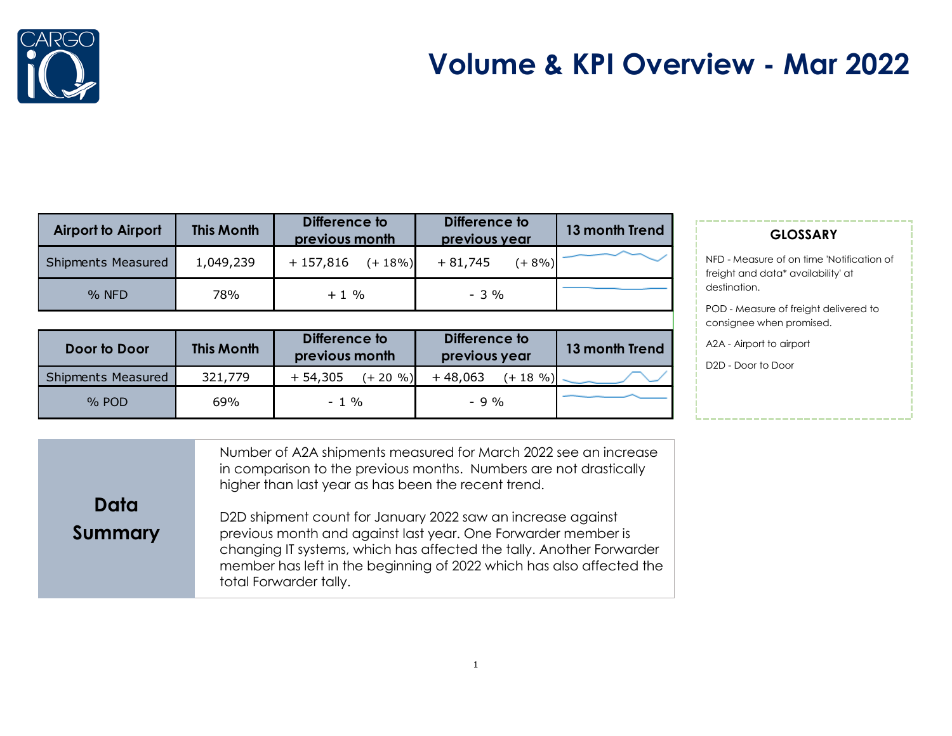

### **Volume & KPI Overview - Mar 2022**

| <b>Airport to Airport</b> | <b>This Month</b> | Difference to<br>previous month | Difference to<br>previous year | 13 month Trend |
|---------------------------|-------------------|---------------------------------|--------------------------------|----------------|
| <b>Shipments Measured</b> | 1,049,239         | $+157,816$ $(+18\%)$            | $(+ 8\%)$<br>$+81,745$         |                |
| $%$ NFD                   | 78%               | $+1\%$                          | $-3\%$                         |                |

| Door to Door       | <b>This Month</b> | Difference to<br>previous month | Difference to<br>previous year | 13 month Trend |
|--------------------|-------------------|---------------------------------|--------------------------------|----------------|
| Shipments Measured | 321,779           | $+54,305$<br>$(+ 20 \, %)$      | $+48,063$<br>$(+ 18, 96)$      |                |
| $%$ POD            | 69%               | $-1$ %                          | $-9\%$                         |                |

### **GLOSSARY**

NFD - Measure of on time 'Notification of freight and data\* availability' at destination.

POD - Measure of freight delivered to consignee when promised.

A2A - Airport to airport

D2D - Door to Door

|                 | Number of A2A shipments measured for March 2022 see an increase<br>in comparison to the previous months. Numbers are not drastically<br>higher than last year as has been the recent trend.                                                                                                            |  |
|-----------------|--------------------------------------------------------------------------------------------------------------------------------------------------------------------------------------------------------------------------------------------------------------------------------------------------------|--|
| Data<br>Summary | D2D shipment count for January 2022 saw an increase against<br>previous month and against last year. One Forwarder member is<br>changing IT systems, which has affected the tally. Another Forwarder<br>member has left in the beginning of 2022 which has also affected the<br>total Forwarder tally. |  |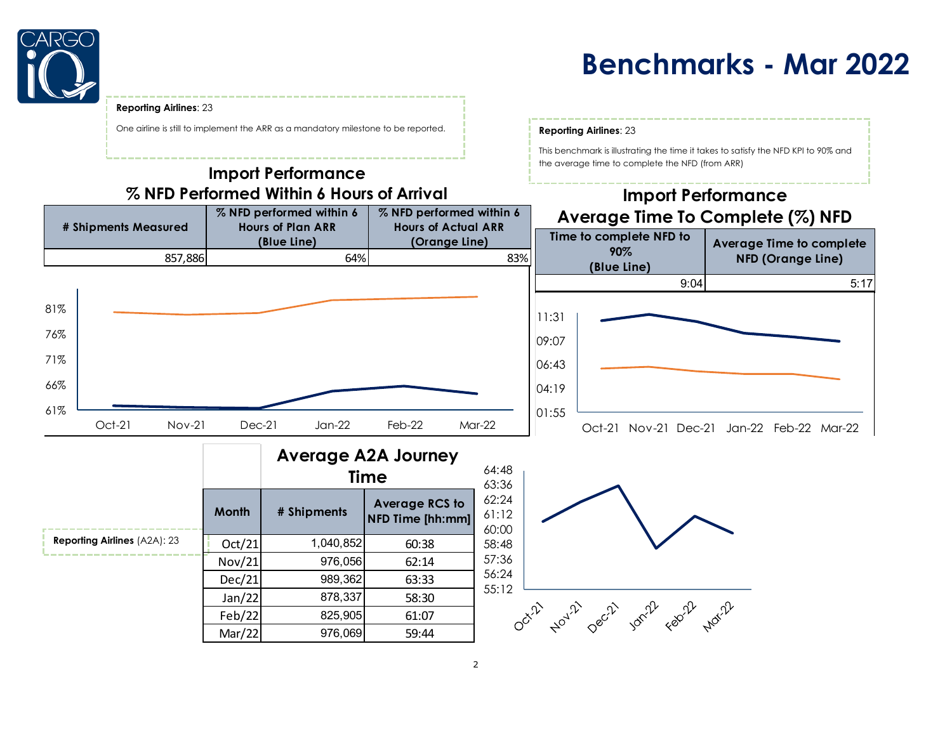

### **Benchmarks - Mar 2022**

This benchmark is illustrating the time it takes to satisfy the NFD KPI to 90% and

the average time to complete the NFD (from ARR)

#### **Reporting Airlines**: 23

One airline is still to implement the ARR as a mandatory milestone to be reported. **Reporting Airlines**: 23

### **Import Performance % NFD Performed Within 6 Hours of Arrival**

#### **Time to complete NFD to 90% (Blue Line) Average Time to complete NFD (Orange Line)** 9:04 5:17 **Import Performance Average Time To Complete (%) NFD** Oct-21 Nov-21 Dec-21 Jan-22 Feb-22 Mar-22 01:55 04:19 06:43 09:07 11:31 **# Shipments Measured % NFD performed within 6 Hours of Plan ARR (Blue Line) % NFD performed within 6 Hours of Actual ARR (Orange Line)** 857,886 857,886 83% Oct-21 Nov-21 Dec-21 Jan-22 Feb-22 Mar-22 61% 66% 71% 76% 81%

|                                     |        | <b>Average A2A Journey</b><br><b>Time</b> |                                           |                                  |  |
|-------------------------------------|--------|-------------------------------------------|-------------------------------------------|----------------------------------|--|
|                                     | Month  | # Shipments                               | <b>Average RCS to</b><br>NFD Time [hh:mm] | 63:36<br>62:24<br>61:12<br>60:00 |  |
| <b>Reporting Airlines (A2A): 23</b> | Oct/21 | 1,040,852                                 | 60:38                                     | 58:48                            |  |
|                                     | Nov/21 | 976,056                                   | 62:14                                     | 57:36                            |  |
|                                     | Dec/21 | 989,362                                   | 63:33                                     | 56:24                            |  |
|                                     | Jan/22 | 878,337                                   | 58:30                                     | 55:12                            |  |
|                                     | Feb/22 | 825,905                                   | 61:07                                     |                                  |  |
|                                     | Mar/22 | 976,069                                   | 59:44                                     |                                  |  |



2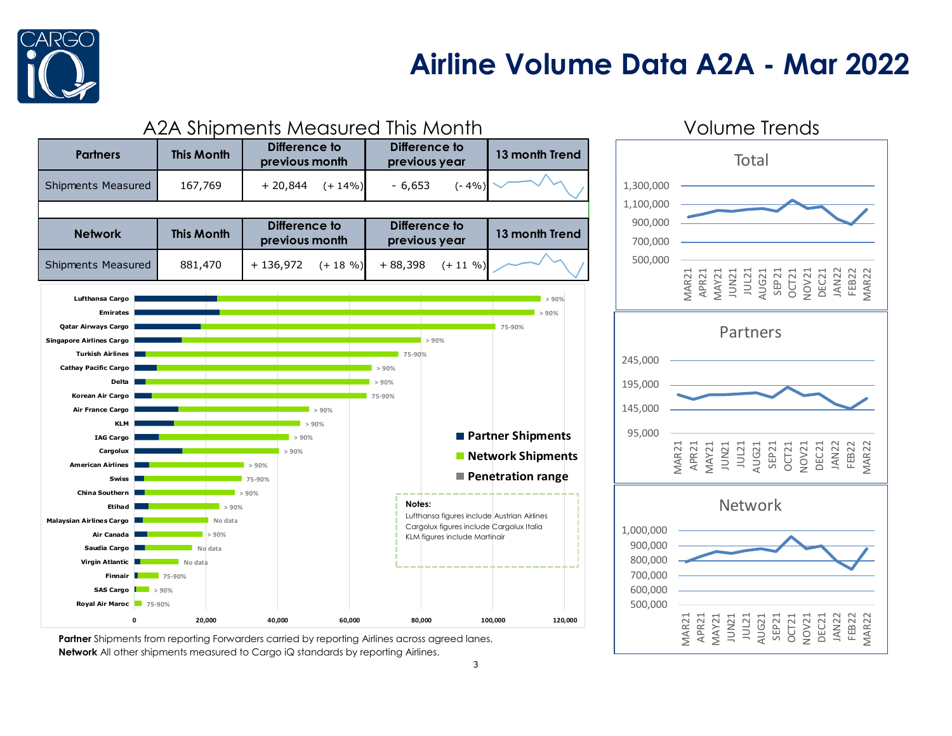

### **Airline Volume Data A2A - Mar 2022**



**Partner** Shipments from reporting Forwarders carried by reporting Airlines across agreed lanes. **Network** All other shipments measured to Cargo iQ standards by reporting Airlines.

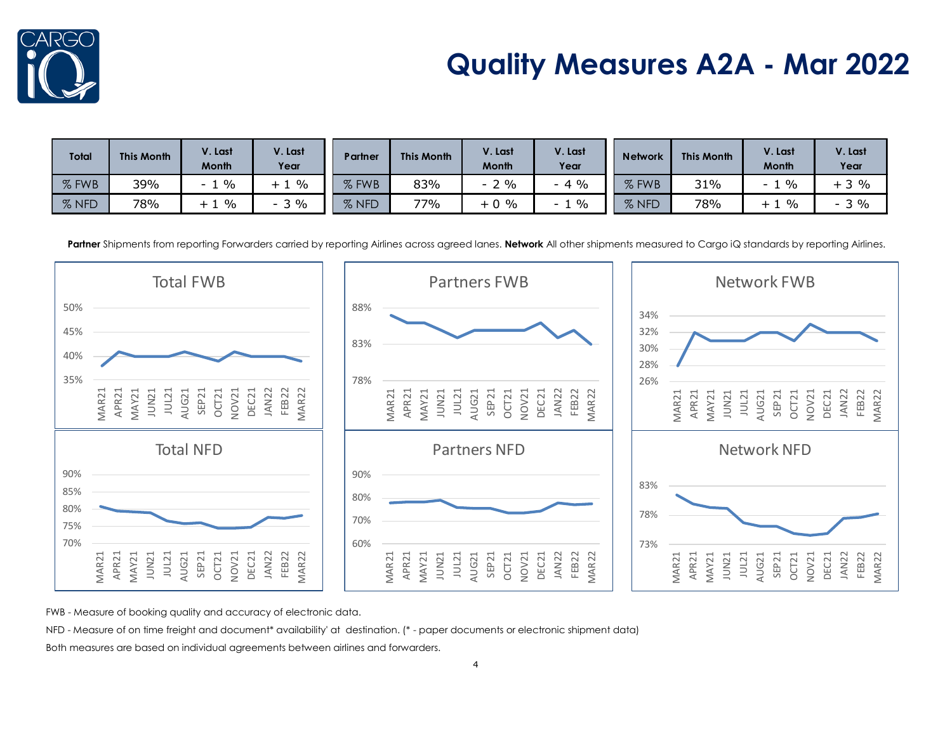

### **Quality Measures A2A - Mar 2022**

| <b>Total</b> | <b>This Month</b> | V. Last<br>Month                      | V. Last<br>Year | Partner          | <b>This Month</b> | V. Last<br><b>Month</b> | V. Last<br>Year                           | <b>Network</b> | <b>This Month</b> | V. Last<br><b>Month</b> | /. Last<br>Year |
|--------------|-------------------|---------------------------------------|-----------------|------------------|-------------------|-------------------------|-------------------------------------------|----------------|-------------------|-------------------------|-----------------|
| % FWB        | 39%               | $\%$<br>$\overline{\phantom{0}}$<br>- | $\%$<br>- 1     | 07<br>FWB        | 83%               | $2\%$<br>- 1            | $\%$<br>- 4                               | $%$ FWB        | 31%               | $\frac{0}{0}$           | $3\%$           |
| % NFD        | 78%               | %<br>+                                | $\%$            | <b>NFD</b><br>07 | 77%               | $+0$ %                  | $\frac{0}{0}$<br>$\overline{\phantom{0}}$ | 07<br>% NFD    | 78%               | $\%$                    | 3%<br>$\sim$    |

Partner Shipments from reporting Forwarders carried by reporting Airlines across agreed lanes. Network All other shipments measured to Cargo iQ standards by reporting Airlines.



FWB - Measure of booking quality and accuracy of electronic data.

NFD - Measure of on time freight and document\* availability' at destination. (\* - paper documents or electronic shipment data)

Both measures are based on individual agreements between airlines and forwarders.